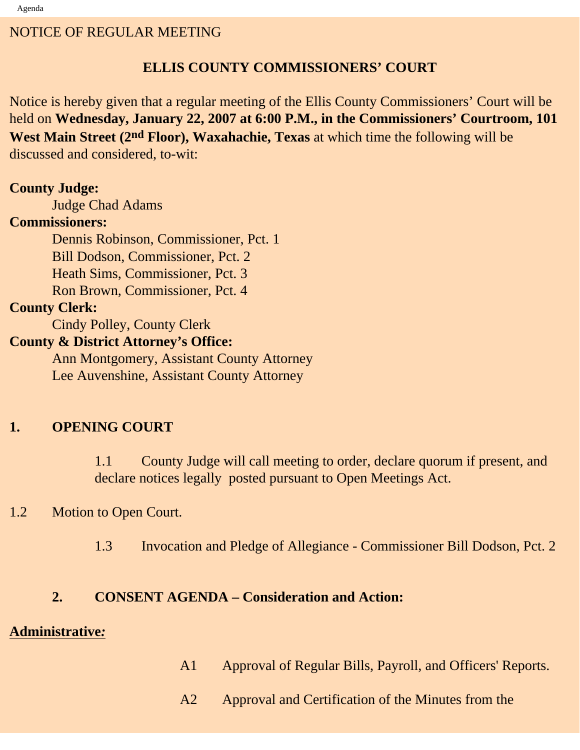#### NOTICE OF REGULAR MEETING

## **ELLIS COUNTY COMMISSIONERS' COURT**

Notice is hereby given that a regular meeting of the Ellis County Commissioners' Court will be held on **Wednesday, January 22, 2007 at 6:00 P.M., in the Commissioners' Courtroom, 101 West Main Street (2nd Floor), Waxahachie, Texas** at which time the following will be discussed and considered, to-wit:

#### **County Judge:**

Judge Chad Adams

#### **Commissioners:**

 Dennis Robinson, Commissioner, Pct. 1 Bill Dodson, Commissioner, Pct. 2 Heath Sims, Commissioner, Pct. 3 Ron Brown, Commissioner, Pct. 4

#### **County Clerk:**

Cindy Polley, County Clerk

## **County & District Attorney's Office:**

 Ann Montgomery, Assistant County Attorney Lee Auvenshine, Assistant County Attorney

## **1. OPENING COURT**

1.1 County Judge will call meeting to order, declare quorum if present, and declare notices legally posted pursuant to Open Meetings Act.

#### 1.2 Motion to Open Court.

1.3 Invocation and Pledge of Allegiance - Commissioner Bill Dodson, Pct. 2

#### **2. CONSENT AGENDA – Consideration and Action:**

#### **Administrative***:*

- A1 Approval of Regular Bills, Payroll, and Officers' Reports.
- A2 Approval and Certification of the Minutes from the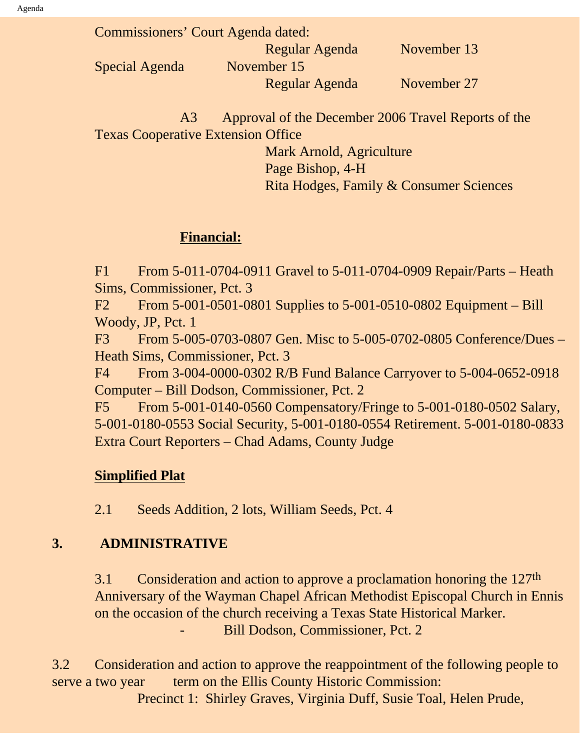| Commissioners' Court Agenda dated: |             |
|------------------------------------|-------------|
| Regular Agenda                     | November 13 |
| November 15                        |             |
| Regular Agenda                     | November 27 |
|                                    |             |

 A3 Approval of the December 2006 Travel Reports of the Texas Cooperative Extension Office

> Mark Arnold, Agriculture Page Bishop, 4-H Rita Hodges, Family & Consumer Sciences

#### **Financial:**

F1 From 5-011-0704-0911 Gravel to 5-011-0704-0909 Repair/Parts – Heath Sims, Commissioner, Pct. 3

F2 From 5-001-0501-0801 Supplies to 5-001-0510-0802 Equipment – Bill Woody, JP, Pct. 1

F3 From 5-005-0703-0807 Gen. Misc to 5-005-0702-0805 Conference/Dues – Heath Sims, Commissioner, Pct. 3

F4 From 3-004-0000-0302 R/B Fund Balance Carryover to 5-004-0652-0918 Computer – Bill Dodson, Commissioner, Pct. 2

F5 From 5-001-0140-0560 Compensatory/Fringe to 5-001-0180-0502 Salary, 5-001-0180-0553 Social Security, 5-001-0180-0554 Retirement. 5-001-0180-0833 Extra Court Reporters – Chad Adams, County Judge

# **Simplified Plat**

2.1 Seeds Addition, 2 lots, William Seeds, Pct. 4

# **3. ADMINISTRATIVE**

3.1 Consideration and action to approve a proclamation honoring the 127<sup>th</sup> Anniversary of the Wayman Chapel African Methodist Episcopal Church in Ennis on the occasion of the church receiving a Texas State Historical Marker. Bill Dodson, Commissioner, Pct. 2

3.2 Consideration and action to approve the reappointment of the following people to serve a two year term on the Ellis County Historic Commission: Precinct 1: Shirley Graves, Virginia Duff, Susie Toal, Helen Prude,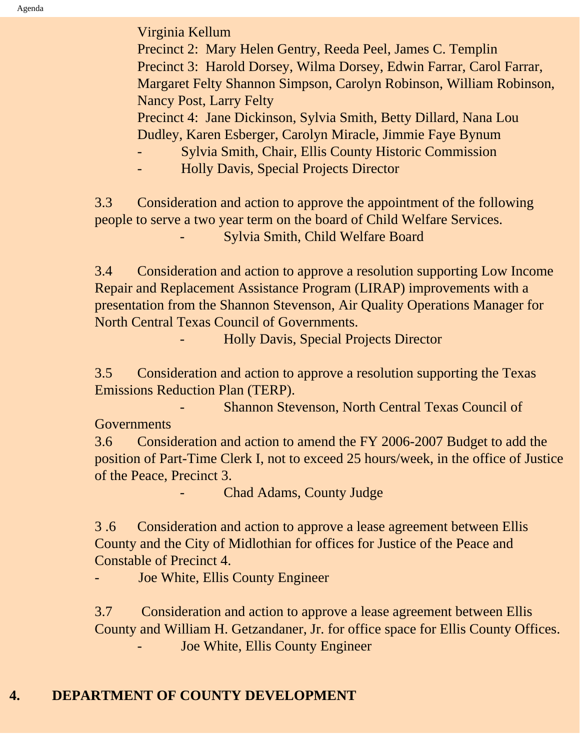Agenda

Virginia Kellum

 Precinct 2: Mary Helen Gentry, Reeda Peel, James C. Templin Precinct 3: Harold Dorsey, Wilma Dorsey, Edwin Farrar, Carol Farrar, Margaret Felty Shannon Simpson, Carolyn Robinson, William Robinson, Nancy Post, Larry Felty

Precinct 4: Jane Dickinson, Sylvia Smith, Betty Dillard, Nana Lou Dudley, Karen Esberger, Carolyn Miracle, Jimmie Faye Bynum

- Sylvia Smith, Chair, Ellis County Historic Commission

- Holly Davis, Special Projects Director

3.3 Consideration and action to approve the appointment of the following people to serve a two year term on the board of Child Welfare Services.

- Sylvia Smith, Child Welfare Board

3.4 Consideration and action to approve a resolution supporting Low Income Repair and Replacement Assistance Program (LIRAP) improvements with a presentation from the Shannon Stevenson, Air Quality Operations Manager for North Central Texas Council of Governments.

- Holly Davis, Special Projects Director

3.5 Consideration and action to approve a resolution supporting the Texas Emissions Reduction Plan (TERP).

Shannon Stevenson, North Central Texas Council of **Governments** 

3.6 Consideration and action to amend the FY 2006-2007 Budget to add the position of Part-Time Clerk I, not to exceed 25 hours/week, in the office of Justice of the Peace, Precinct 3.

Chad Adams, County Judge

3 .6 Consideration and action to approve a lease agreement between Ellis County and the City of Midlothian for offices for Justice of the Peace and Constable of Precinct 4.

Joe White, Ellis County Engineer

3.7 Consideration and action to approve a lease agreement between Ellis County and William H. Getzandaner, Jr. for office space for Ellis County Offices. Joe White, Ellis County Engineer

## **4. DEPARTMENT OF COUNTY DEVELOPMENT**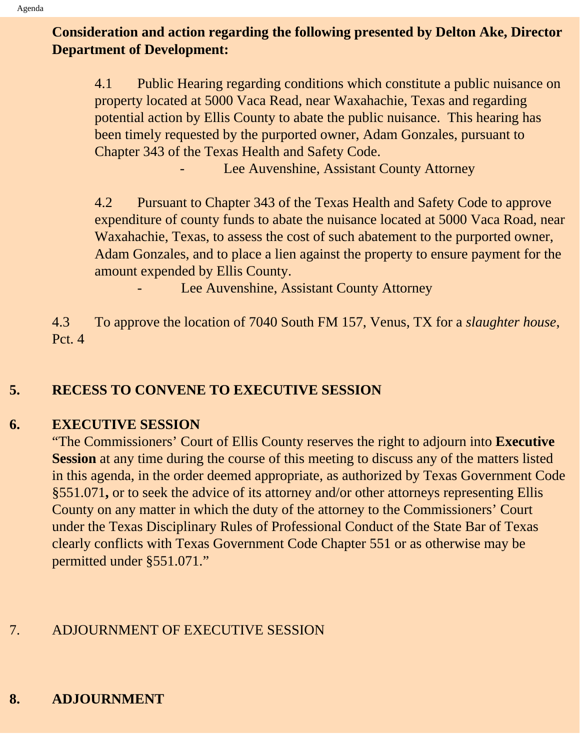# **Consideration and action regarding the following presented by Delton Ake, Director Department of Development:**

4.1 Public Hearing regarding conditions which constitute a public nuisance on property located at 5000 Vaca Read, near Waxahachie, Texas and regarding potential action by Ellis County to abate the public nuisance. This hearing has been timely requested by the purported owner, Adam Gonzales, pursuant to Chapter 343 of the Texas Health and Safety Code.

Lee Auvenshine, Assistant County Attorney

4.2 Pursuant to Chapter 343 of the Texas Health and Safety Code to approve expenditure of county funds to abate the nuisance located at 5000 Vaca Road, near Waxahachie, Texas, to assess the cost of such abatement to the purported owner, Adam Gonzales, and to place a lien against the property to ensure payment for the amount expended by Ellis County.

Lee Auvenshine, Assistant County Attorney

4.3 To approve the location of 7040 South FM 157, Venus, TX for a *slaughter house*, Pct. 4

## **5. RECESS TO CONVENE TO EXECUTIVE SESSION**

#### **6. EXECUTIVE SESSION**

"The Commissioners' Court of Ellis County reserves the right to adjourn into **Executive Session** at any time during the course of this meeting to discuss any of the matters listed in this agenda, in the order deemed appropriate, as authorized by Texas Government Code §551.071**,** or to seek the advice of its attorney and/or other attorneys representing Ellis County on any matter in which the duty of the attorney to the Commissioners' Court under the Texas Disciplinary Rules of Professional Conduct of the State Bar of Texas clearly conflicts with Texas Government Code Chapter 551 or as otherwise may be permitted under §551.071."

# 7. ADJOURNMENT OF EXECUTIVE SESSION

# **8. ADJOURNMENT**